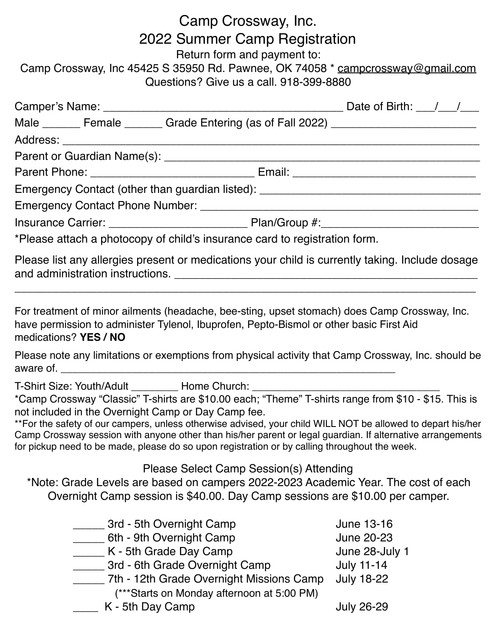# Camp Crossway, Inc. 2022 Summer Camp Registration Return form and payment to: Camp Crossway, Inc 45425 S 35950 Rd. Pawnee, OK 74058 \* [campcrossway@gmail.com](mailto:campcrossway@gmail.com) Questions? Give us a call. 918-399-8880 Camper's Name: \_\_\_\_\_\_\_\_\_\_\_\_\_\_\_\_\_\_\_\_\_\_\_\_\_\_\_\_\_\_\_\_\_\_\_\_\_\_ Date of Birth: \_\_\_/\_\_\_/\_\_\_ Male \_\_\_\_\_\_ Female \_\_\_\_\_\_ Grade Entering (as of Fall 2022) \_\_\_\_\_\_\_\_\_\_\_\_\_\_\_\_\_\_\_\_\_ Address: \_\_\_\_\_\_\_\_\_\_\_\_\_\_\_\_\_\_\_\_\_\_\_\_\_\_\_\_\_\_\_\_\_\_\_\_\_\_\_\_\_\_\_\_\_\_\_\_\_\_\_\_\_\_\_\_\_\_\_\_\_\_\_\_\_\_ Parent or Guardian Name(s): \_\_\_\_\_\_\_\_\_\_\_\_\_\_\_\_\_\_\_\_\_\_\_\_\_\_\_\_\_\_\_\_\_\_\_\_\_\_\_\_\_\_\_\_\_\_\_\_\_\_ Parent Phone: \_\_\_\_\_\_\_\_\_\_\_\_\_\_\_\_\_\_\_\_\_\_\_\_\_\_\_\_\_\_\_\_\_\_ Email: \_\_\_\_\_\_\_\_\_\_\_\_\_\_\_\_\_\_\_\_\_\_\_\_\_ Emergency Contact (other than guardian listed): \_\_\_\_\_\_\_\_\_\_\_\_\_\_\_\_\_\_\_\_\_\_\_\_\_\_\_\_\_\_\_\_ Emergency Contact Phone Number: \_\_\_\_\_\_\_\_\_\_\_\_\_\_\_\_\_\_\_\_\_\_\_\_\_\_\_\_\_\_\_\_\_\_\_\_\_\_\_\_\_\_\_\_ Insurance Carrier: \_\_\_\_\_\_\_\_\_\_\_\_\_\_\_\_\_\_\_\_\_\_ Plan/Group #:\_\_\_\_\_\_\_\_\_\_\_\_\_\_\_\_\_\_\_\_\_\_\_\_\_ \*Please attach a photocopy of child's insurance card to registration form. Please list any allergies present or medications your child is currently taking. Include dosage and administration instructions. \_\_\_\_\_\_\_\_\_\_\_\_\_\_\_\_\_\_\_\_\_\_\_\_\_\_\_\_\_\_\_\_\_\_\_\_\_\_\_\_\_\_\_\_\_\_\_\_ \_\_\_\_\_\_\_\_\_\_\_\_\_\_\_\_\_\_\_\_\_\_\_\_\_\_\_\_\_\_\_\_\_\_\_\_\_\_\_\_\_\_\_\_\_\_\_\_\_\_\_\_\_\_\_\_\_\_\_\_\_\_\_\_\_\_\_\_\_\_\_\_\_ For treatment of minor ailments (headache, bee-sting, upset stomach) does Camp Crossway, Inc. have permission to administer Tylenol, Ibuprofen, Pepto-Bismol or other basic First Aid medications? **YES / NO** Please note any limitations or exemptions from physical activity that Camp Crossway, Inc. should be aware of. T-Shirt Size: Youth/Adult **Home Church:** \*Camp Crossway "Classic" T-shirts are \$10.00 each; "Theme" T-shirts range from \$10 - \$15. This is not included in the Overnight Camp or Day Camp fee. \*\*For the safety of our campers, unless otherwise advised, your child WILL NOT be allowed to depart his/her Camp Crossway session with anyone other than his/her parent or legal guardian. If alternative arrangements for pickup need to be made, please do so upon registration or by calling throughout the week. Please Select Camp Session(s) Attending \*Note: Grade Levels are based on campers 2022-2023 Academic Year. The cost of each Overnight Camp session is \$40.00. Day Camp sessions are \$10.00 per camper. 13-16 The Sth Overnight Camp State State State State State State State State State State State State State State State State State State State State State State State State State State State State State State State State S 6th - 9th Overnight Camp June 20-23 K - 5th Grade Day Camp June 28-July 1 \_\_\_\_\_\_ 3rd - 6th Grade Overnight Camp duly 11-14 \_\_\_\_\_ 7th - 12th Grade Overnight Missions Camp July 18-22 (\*\*\*Starts on Monday afternoon at 5:00 PM)

\_\_\_\_ K - 5th Day Camp July 26-29